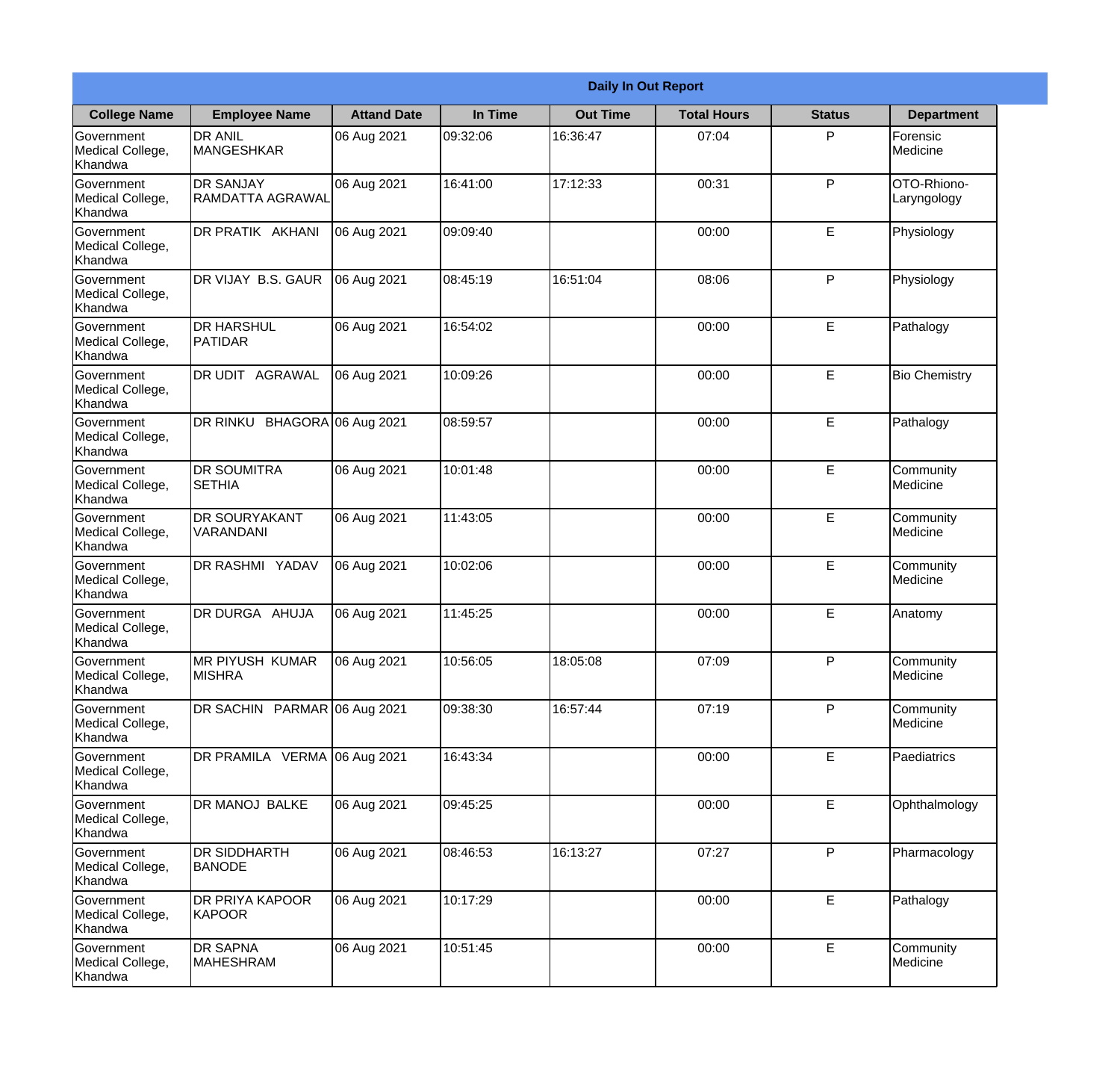|                                                  | <b>Daily In Out Report</b>           |                    |          |                 |                    |               |                            |  |  |
|--------------------------------------------------|--------------------------------------|--------------------|----------|-----------------|--------------------|---------------|----------------------------|--|--|
| <b>College Name</b>                              | <b>Employee Name</b>                 | <b>Attand Date</b> | In Time  | <b>Out Time</b> | <b>Total Hours</b> | <b>Status</b> | <b>Department</b>          |  |  |
| Government<br>Medical College,<br>Khandwa        | <b>DR ANIL</b><br><b>MANGESHKAR</b>  | 06 Aug 2021        | 09:32:06 | 16:36:47        | 07:04              | P             | Forensic<br>Medicine       |  |  |
| Government<br>Medical College,<br>Khandwa        | <b>DR SANJAY</b><br>RAMDATTA AGRAWAL | 06 Aug 2021        | 16:41:00 | 17:12:33        | 00:31              | P             | OTO-Rhiono-<br>Laryngology |  |  |
| <b>Government</b><br>Medical College,<br>Khandwa | <b>DR PRATIK AKHANI</b>              | 06 Aug 2021        | 09:09:40 |                 | 00:00              | E             | Physiology                 |  |  |
| Government<br>Medical College,<br>Khandwa        | DR VIJAY B.S. GAUR                   | 06 Aug 2021        | 08:45:19 | 16:51:04        | 08:06              | P             | Physiology                 |  |  |
| Government<br>Medical College,<br>Khandwa        | <b>DR HARSHUL</b><br>PATIDAR         | 06 Aug 2021        | 16:54:02 |                 | 00:00              | E             | Pathalogy                  |  |  |
| Government<br>Medical College,<br>Khandwa        | <b>DR UDIT AGRAWAL</b>               | 06 Aug 2021        | 10:09:26 |                 | 00:00              | E             | <b>Bio Chemistry</b>       |  |  |
| Government<br>Medical College,<br>Khandwa        | DR RINKU BHAGORA 06 Aug 2021         |                    | 08:59:57 |                 | 00:00              | E             | Pathalogy                  |  |  |
| Government<br>Medical College,<br>Khandwa        | <b>DR SOUMITRA</b><br><b>SETHIA</b>  | 06 Aug 2021        | 10:01:48 |                 | 00:00              | E             | Community<br>Medicine      |  |  |
| Government<br>Medical College,<br>Khandwa        | <b>DR SOURYAKANT</b><br>VARANDANI    | 06 Aug 2021        | 11:43:05 |                 | 00:00              | E             | Community<br>Medicine      |  |  |
| Government<br>Medical College,<br>Khandwa        | <b>DR RASHMI YADAV</b>               | 06 Aug 2021        | 10:02:06 |                 | 00:00              | E             | Community<br>Medicine      |  |  |
| Government<br>Medical College,<br>Khandwa        | DR DURGA AHUJA                       | 06 Aug 2021        | 11:45:25 |                 | 00:00              | E             | Anatomy                    |  |  |
| Government<br>Medical College,<br>Khandwa        | MR PIYUSH KUMAR<br><b>MISHRA</b>     | 06 Aug 2021        | 10:56:05 | 18:05:08        | 07:09              | P             | Community<br>Medicine      |  |  |
| Government<br>Medical College,<br>Khandwa        | DR SACHIN PARMAR 06 Aug 2021         |                    | 09:38:30 | 16:57:44        | 07:19              | P             | Community<br>Medicine      |  |  |
| Government<br>Medical College,<br>Khandwa        | DR PRAMILA VERMA 06 Aug 2021         |                    | 16:43:34 |                 | 00:00              | E             | Paediatrics                |  |  |
| Government<br>Medical College,<br>Khandwa        | DR MANOJ BALKE                       | 06 Aug 2021        | 09:45:25 |                 | 00:00              | E             | Ophthalmology              |  |  |
| Government<br>Medical College,<br>Khandwa        | <b>DR SIDDHARTH</b><br><b>BANODE</b> | 06 Aug 2021        | 08:46:53 | 16:13:27        | 07:27              | P             | Pharmacology               |  |  |
| Government<br>Medical College,<br>Khandwa        | <b>DR PRIYA KAPOOR</b><br>KAPOOR     | 06 Aug 2021        | 10:17:29 |                 | 00:00              | E             | Pathalogy                  |  |  |
| Government<br>Medical College,<br>Khandwa        | <b>DR SAPNA</b><br>MAHESHRAM         | 06 Aug 2021        | 10:51:45 |                 | 00:00              | E             | Community<br>Medicine      |  |  |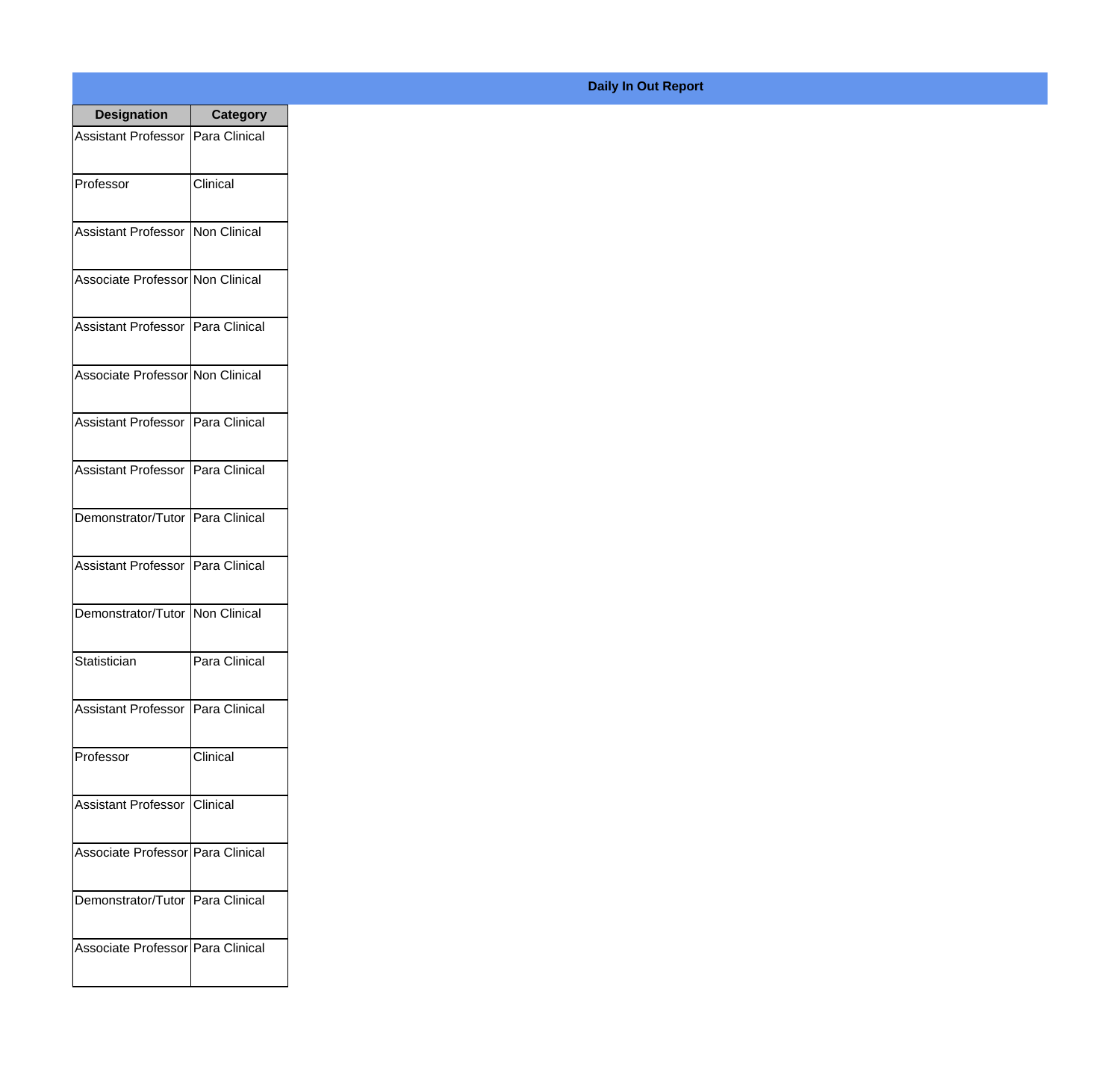| <b>Designation</b>                  | <b>Category</b> |
|-------------------------------------|-----------------|
| Assistant Professor   Para Clinical |                 |
| Professor                           | Clinical        |
| Assistant Professor   Non Clinical  |                 |
| Associate Professor Non Clinical    |                 |
| Assistant Professor   Para Clinical |                 |
| Associate Professor Non Clinical    |                 |
| Assistant Professor   Para Clinical |                 |
| Assistant Professor   Para Clinical |                 |
| Demonstrator/Tutor   Para Clinical  |                 |
| Assistant Professor   Para Clinical |                 |
| Demonstrator/Tutor   Non Clinical   |                 |
| Statistician                        | Para Clinical   |
| Assistant Professor   Para Clinical |                 |
| Professor                           | Clinical        |
| Assistant Professor   Clinical      |                 |
| Associate Professor Para Clinical   |                 |
| Demonstrator/Tutor   Para Clinical  |                 |
| Associate Professor Para Clinical   |                 |

## **Daily In Out Report**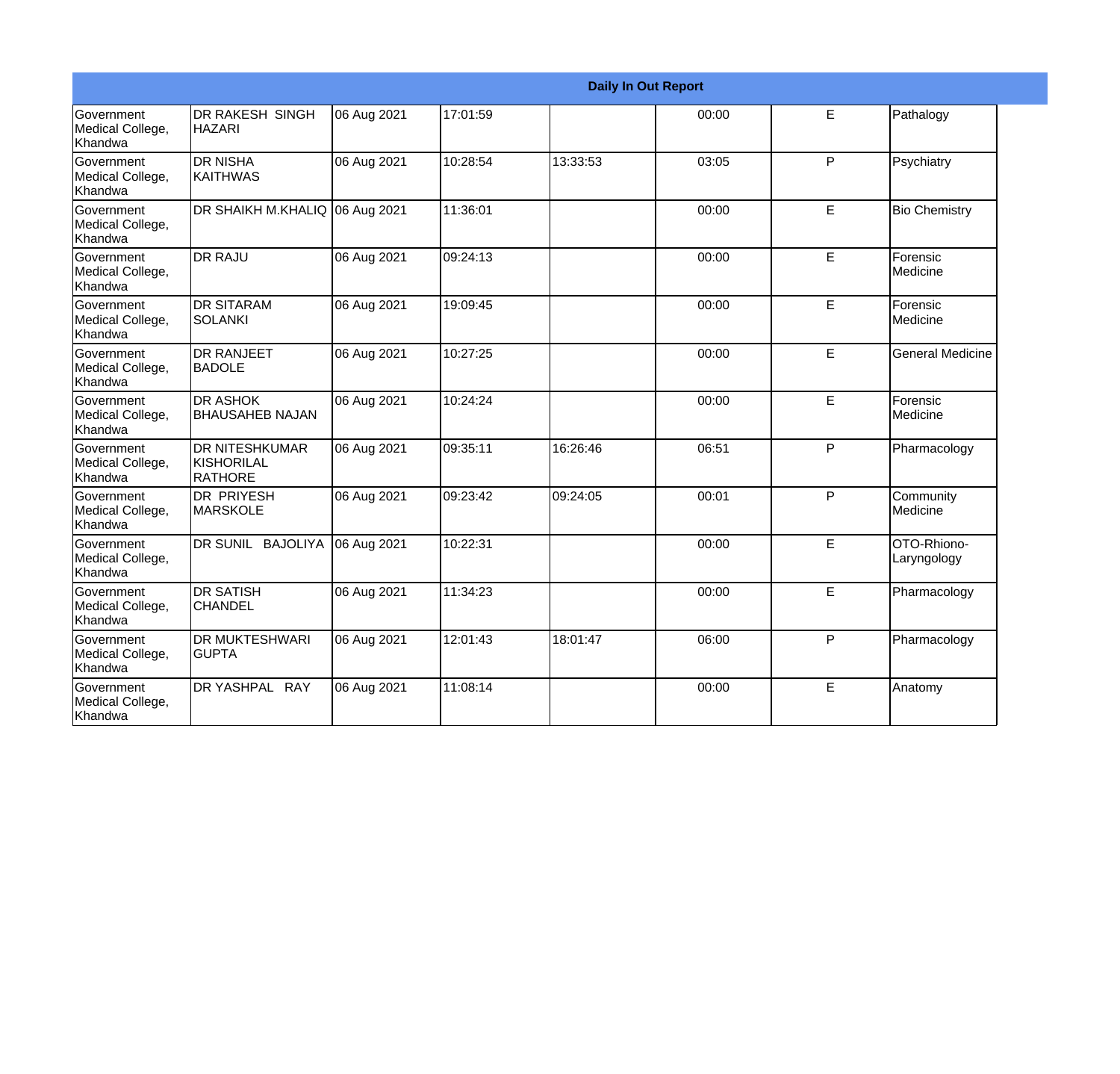|                                                  | <b>Daily In Out Report</b>                      |             |          |          |       |   |                            |  |  |
|--------------------------------------------------|-------------------------------------------------|-------------|----------|----------|-------|---|----------------------------|--|--|
| <b>Government</b><br>Medical College,<br>Khandwa | <b>DR RAKESH SINGH</b><br><b>HAZARI</b>         | 06 Aug 2021 | 17:01:59 |          | 00:00 | E | Pathalogy                  |  |  |
| Government<br>Medical College,<br>Khandwa        | <b>DR NISHA</b><br><b>KAITHWAS</b>              | 06 Aug 2021 | 10:28:54 | 13:33:53 | 03:05 | P | Psychiatry                 |  |  |
| <b>Government</b><br>Medical College,<br>Khandwa | DR SHAIKH M.KHALIQ 06 Aug 2021                  |             | 11:36:01 |          | 00:00 | E | <b>Bio Chemistry</b>       |  |  |
| Government<br>Medical College,<br>Khandwa        | <b>DR RAJU</b>                                  | 06 Aug 2021 | 09:24:13 |          | 00:00 | E | Forensic<br>Medicine       |  |  |
| <b>Government</b><br>Medical College,<br>Khandwa | <b>DR SITARAM</b><br><b>SOLANKI</b>             | 06 Aug 2021 | 19:09:45 |          | 00:00 | E | Forensic<br>Medicine       |  |  |
| Government<br>Medical College,<br>Khandwa        | <b>DR RANJEET</b><br><b>BADOLE</b>              | 06 Aug 2021 | 10:27:25 |          | 00:00 | E | <b>General Medicine</b>    |  |  |
| <b>Government</b><br>Medical College,<br>Khandwa | <b>DR ASHOK</b><br><b>BHAUSAHEB NAJAN</b>       | 06 Aug 2021 | 10:24:24 |          | 00:00 | E | Forensic<br>Medicine       |  |  |
| Government<br>Medical College,<br>Khandwa        | <b>DR NITESHKUMAR</b><br>KISHORILAL<br>IRATHORE | 06 Aug 2021 | 09:35:11 | 16:26:46 | 06:51 | P | Pharmacology               |  |  |
| <b>Government</b><br>Medical College,<br>Khandwa | <b>DR PRIYESH</b><br><b>MARSKOLE</b>            | 06 Aug 2021 | 09:23:42 | 09:24:05 | 00:01 | P | Community<br>Medicine      |  |  |
| Government<br>Medical College,<br>Khandwa        | DR SUNIL BAJOLIYA                               | 06 Aug 2021 | 10:22:31 |          | 00:00 | E | OTO-Rhiono-<br>Laryngology |  |  |
| <b>Government</b><br>Medical College,<br>Khandwa | <b>DR SATISH</b><br><b>CHANDEL</b>              | 06 Aug 2021 | 11:34:23 |          | 00:00 | E | Pharmacology               |  |  |
| Government<br>Medical College,<br>Khandwa        | <b>DR MUKTESHWARI</b><br>IGUPTA                 | 06 Aug 2021 | 12:01:43 | 18:01:47 | 06:00 | P | Pharmacology               |  |  |
| Government<br>Medical College,<br>Khandwa        | DR YASHPAL RAY                                  | 06 Aug 2021 | 11:08:14 |          | 00:00 | E | Anatomy                    |  |  |